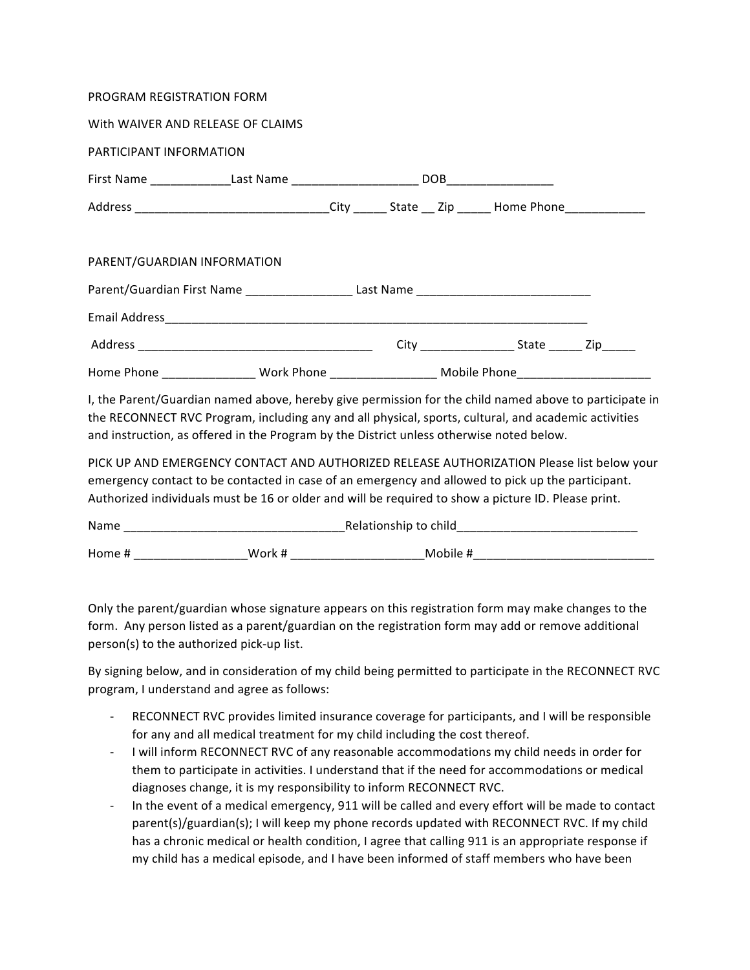| PROGRAM REGISTRATION FORM                                                                                                                                                                                                                                                                                  |  |  |  |  |  |
|------------------------------------------------------------------------------------------------------------------------------------------------------------------------------------------------------------------------------------------------------------------------------------------------------------|--|--|--|--|--|
| With WAIVER AND RELEASE OF CLAIMS                                                                                                                                                                                                                                                                          |  |  |  |  |  |
| PARTICIPANT INFORMATION                                                                                                                                                                                                                                                                                    |  |  |  |  |  |
|                                                                                                                                                                                                                                                                                                            |  |  |  |  |  |
| Address ________________________________City _______State __ Zip ______ Home Phone_________________                                                                                                                                                                                                        |  |  |  |  |  |
| PARENT/GUARDIAN INFORMATION                                                                                                                                                                                                                                                                                |  |  |  |  |  |
|                                                                                                                                                                                                                                                                                                            |  |  |  |  |  |
|                                                                                                                                                                                                                                                                                                            |  |  |  |  |  |
|                                                                                                                                                                                                                                                                                                            |  |  |  |  |  |
| Home Phone __________________Work Phone _______________________Mobile Phone ________________________                                                                                                                                                                                                       |  |  |  |  |  |
| I, the Parent/Guardian named above, hereby give permission for the child named above to participate in<br>the RECONNECT RVC Program, including any and all physical, sports, cultural, and academic activities<br>and instruction, as offered in the Program by the District unless otherwise noted below. |  |  |  |  |  |
| PICK UP AND EMERGENCY CONTACT AND AUTHORIZED RELEASE AUTHORIZATION Please list below your<br>emergency contact to be contacted in case of an emergency and allowed to pick up the participant                                                                                                              |  |  |  |  |  |

emergency contact to be contacted in case of an emergency and allowed to pick up the participant. Authorized individuals must be 16 or older and will be required to show a picture ID. Please print.

| Name   |                 | Relationship to child |  |  |  |
|--------|-----------------|-----------------------|--|--|--|
| Home # | Work #<br>_____ | Mobile #              |  |  |  |

Only the parent/guardian whose signature appears on this registration form may make changes to the form. Any person listed as a parent/guardian on the registration form may add or remove additional person(s) to the authorized pick-up list.

By signing below, and in consideration of my child being permitted to participate in the RECONNECT RVC program, I understand and agree as follows:

- RECONNECT RVC provides limited insurance coverage for participants, and I will be responsible for any and all medical treatment for my child including the cost thereof.
- I will inform RECONNECT RVC of any reasonable accommodations my child needs in order for them to participate in activities. I understand that if the need for accommodations or medical diagnoses change, it is my responsibility to inform RECONNECT RVC.
- In the event of a medical emergency, 911 will be called and every effort will be made to contact parent(s)/guardian(s); I will keep my phone records updated with RECONNECT RVC. If my child has a chronic medical or health condition, I agree that calling 911 is an appropriate response if my child has a medical episode, and I have been informed of staff members who have been